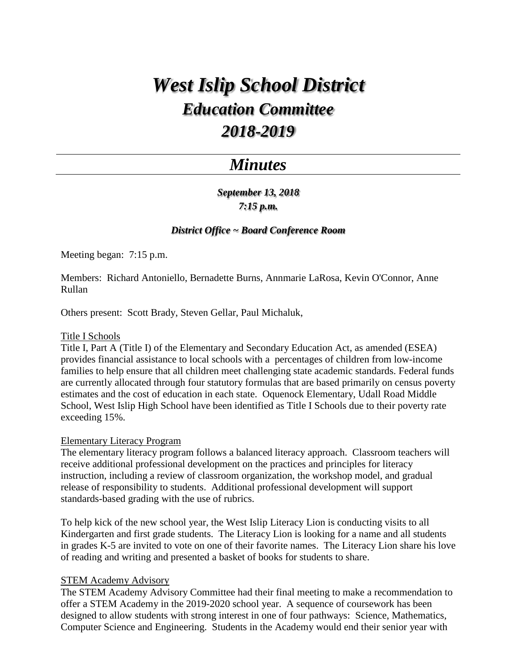# *West Islip School District Education Committee 2018-2019*

# *Minutes*

*September 13, 2018 7:15 p.m.*

## *District Office ~ Board Conference Room*

Meeting began: 7:15 p.m.

Members: Richard Antoniello, Bernadette Burns, Annmarie LaRosa, Kevin O'Connor, Anne Rullan

Others present: Scott Brady, Steven Gellar, Paul Michaluk,

#### Title I Schools

Title I, Part A (Title I) of the Elementary and Secondary Education Act, as amended (ESEA) provides financial assistance to local schools with a percentages of children from low-income families to help ensure that all children meet challenging state academic standards. Federal funds are currently allocated through four statutory formulas that are based primarily on census poverty estimates and the cost of education in each state. Oquenock Elementary, Udall Road Middle School, West Islip High School have been identified as Title I Schools due to their poverty rate exceeding 15%.

#### Elementary Literacy Program

The elementary literacy program follows a balanced literacy approach. Classroom teachers will receive additional professional development on the practices and principles for literacy instruction, including a review of classroom organization, the workshop model, and gradual release of responsibility to students. Additional professional development will support standards-based grading with the use of rubrics.

To help kick of the new school year, the West Islip Literacy Lion is conducting visits to all Kindergarten and first grade students. The Literacy Lion is looking for a name and all students in grades K-5 are invited to vote on one of their favorite names. The Literacy Lion share his love of reading and writing and presented a basket of books for students to share.

#### STEM Academy Advisory

The STEM Academy Advisory Committee had their final meeting to make a recommendation to offer a STEM Academy in the 2019-2020 school year. A sequence of coursework has been designed to allow students with strong interest in one of four pathways: Science, Mathematics, Computer Science and Engineering. Students in the Academy would end their senior year with